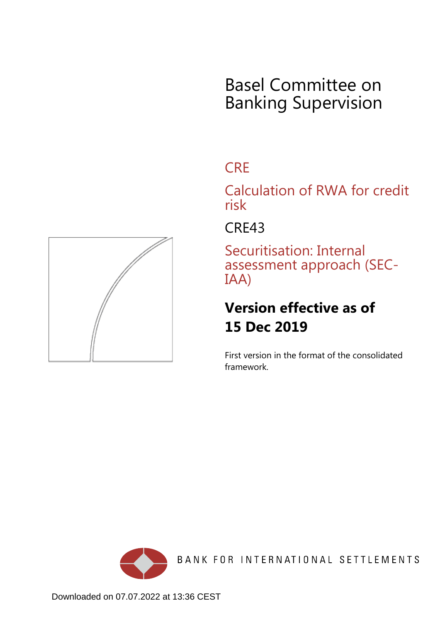## Basel Committee on Banking Supervision

## **CRE**

Calculation of RWA for credit risk

CRE43

Securitisation: Internal assessment approach (SEC-IAA)

## **Version effective as of 15 Dec 2019**

First version in the format of the consolidated framework.



BANK FOR INTERNATIONAL SETTLEMENTS

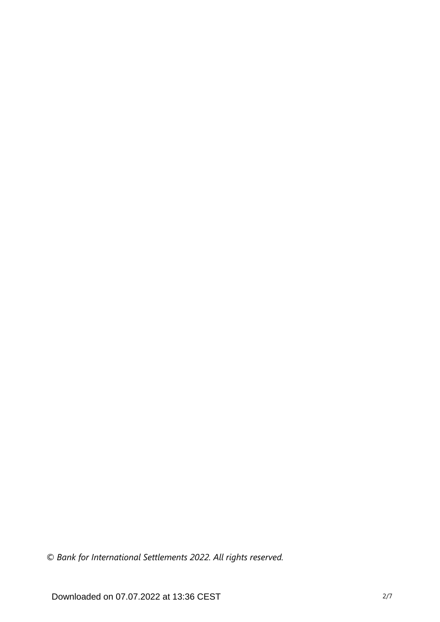*© Bank for International Settlements 2022. All rights reserved.*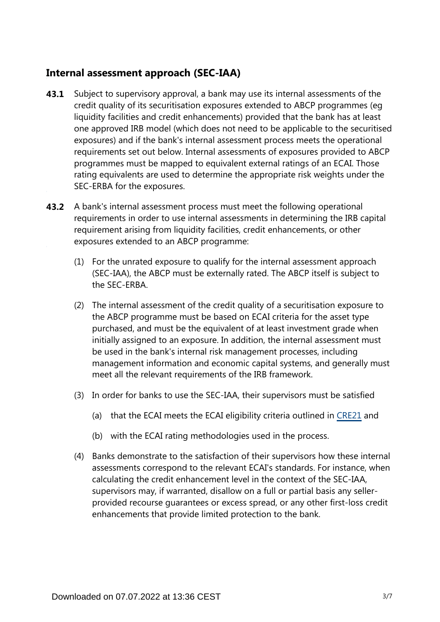## **Internal assessment approach (SEC-IAA)**

- Subject to supervisory approval, a bank may use its internal assessments of the credit quality of its securitisation exposures extended to ABCP programmes (eg liquidity facilities and credit enhancements) provided that the bank has at least one approved IRB model (which does not need to be applicable to the securitised exposures) and if the bank's internal assessment process meets the operational requirements set out below. Internal assessments of exposures provided to ABCP programmes must be mapped to equivalent external ratings of an ECAI. Those rating equivalents are used to determine the appropriate risk weights under the SEC-ERBA for the exposures. **43.1**
- **43.2** A bank's internal assessment process must meet the following operational requirements in order to use internal assessments in determining the IRB capital requirement arising from liquidity facilities, credit enhancements, or other exposures extended to an ABCP programme:
	- (1) For the unrated exposure to qualify for the internal assessment approach (SEC-IAA), the ABCP must be externally rated. The ABCP itself is subject to the SEC-ERBA.
	- (2) The internal assessment of the credit quality of a securitisation exposure to the ABCP programme must be based on ECAI criteria for the asset type purchased, and must be the equivalent of at least investment grade when initially assigned to an exposure. In addition, the internal assessment must be used in the bank's internal risk management processes, including management information and economic capital systems, and generally must meet all the relevant requirements of the IRB framework.
	- (3) In order for banks to use the SEC-IAA, their supervisors must be satisfied
		- (a) that the ECAI meets the ECAI eligibility criteria outlined in [CRE21](https://www.bis.org/basel_framework/chapter/CRE/21.htm?tldate=20230101&inforce=20230101&published=20200327) and
		- (b) with the ECAI rating methodologies used in the process.
	- (4) Banks demonstrate to the satisfaction of their supervisors how these internal assessments correspond to the relevant ECAI's standards. For instance, when calculating the credit enhancement level in the context of the SEC-IAA, supervisors may, if warranted, disallow on a full or partial basis any sellerprovided recourse guarantees or excess spread, or any other first-loss credit enhancements that provide limited protection to the bank.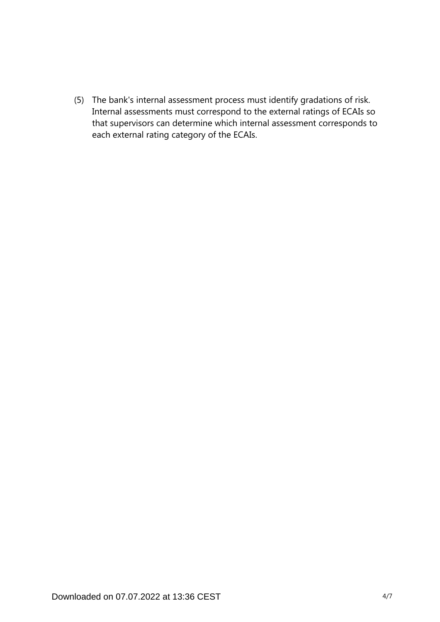(5) The bank's internal assessment process must identify gradations of risk. Internal assessments must correspond to the external ratings of ECAIs so that supervisors can determine which internal assessment corresponds to each external rating category of the ECAIs.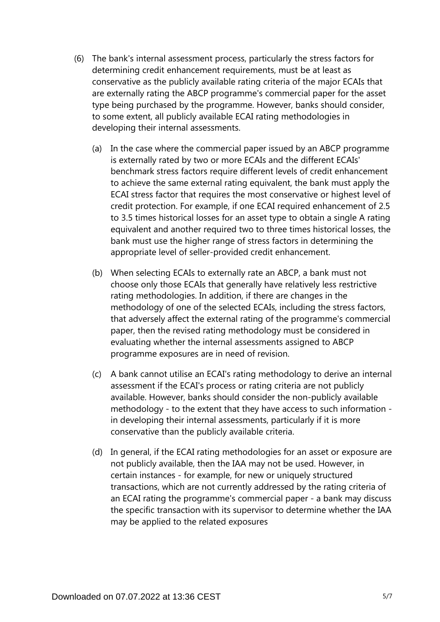- (6) The bank's internal assessment process, particularly the stress factors for determining credit enhancement requirements, must be at least as conservative as the publicly available rating criteria of the major ECAIs that are externally rating the ABCP programme's commercial paper for the asset type being purchased by the programme. However, banks should consider, to some extent, all publicly available ECAI rating methodologies in developing their internal assessments.
	- (a) In the case where the commercial paper issued by an ABCP programme is externally rated by two or more ECAIs and the different ECAIs' benchmark stress factors require different levels of credit enhancement to achieve the same external rating equivalent, the bank must apply the ECAI stress factor that requires the most conservative or highest level of credit protection. For example, if one ECAI required enhancement of 2.5 to 3.5 times historical losses for an asset type to obtain a single A rating equivalent and another required two to three times historical losses, the bank must use the higher range of stress factors in determining the appropriate level of seller-provided credit enhancement.
	- (b) When selecting ECAIs to externally rate an ABCP, a bank must not choose only those ECAIs that generally have relatively less restrictive rating methodologies. In addition, if there are changes in the methodology of one of the selected ECAIs, including the stress factors, that adversely affect the external rating of the programme's commercial paper, then the revised rating methodology must be considered in evaluating whether the internal assessments assigned to ABCP programme exposures are in need of revision.
	- (c) A bank cannot utilise an ECAI's rating methodology to derive an internal assessment if the ECAI's process or rating criteria are not publicly available. However, banks should consider the non-publicly available methodology - to the extent that they have access to such information in developing their internal assessments, particularly if it is more conservative than the publicly available criteria.
	- (d) In general, if the ECAI rating methodologies for an asset or exposure are not publicly available, then the IAA may not be used. However, in certain instances - for example, for new or uniquely structured transactions, which are not currently addressed by the rating criteria of an ECAI rating the programme's commercial paper - a bank may discuss the specific transaction with its supervisor to determine whether the IAA may be applied to the related exposures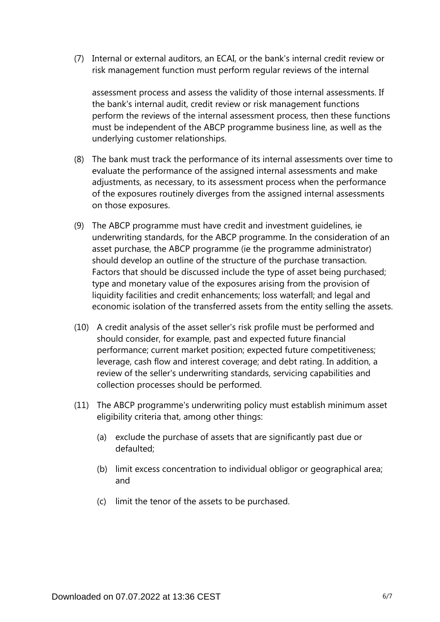(7) Internal or external auditors, an ECAI, or the bank's internal credit review or risk management function must perform regular reviews of the internal

assessment process and assess the validity of those internal assessments. If the bank's internal audit, credit review or risk management functions perform the reviews of the internal assessment process, then these functions must be independent of the ABCP programme business line, as well as the underlying customer relationships.

- (8) The bank must track the performance of its internal assessments over time to evaluate the performance of the assigned internal assessments and make adjustments, as necessary, to its assessment process when the performance of the exposures routinely diverges from the assigned internal assessments on those exposures.
- (9) The ABCP programme must have credit and investment guidelines, ie underwriting standards, for the ABCP programme. In the consideration of an asset purchase, the ABCP programme (ie the programme administrator) should develop an outline of the structure of the purchase transaction. Factors that should be discussed include the type of asset being purchased; type and monetary value of the exposures arising from the provision of liquidity facilities and credit enhancements; loss waterfall; and legal and economic isolation of the transferred assets from the entity selling the assets.
- (10) A credit analysis of the asset seller's risk profile must be performed and should consider, for example, past and expected future financial performance; current market position; expected future competitiveness; leverage, cash flow and interest coverage; and debt rating. In addition, a review of the seller's underwriting standards, servicing capabilities and collection processes should be performed.
- (11) The ABCP programme's underwriting policy must establish minimum asset eligibility criteria that, among other things:
	- (a) exclude the purchase of assets that are significantly past due or defaulted;
	- (b) limit excess concentration to individual obligor or geographical area; and
	- (c) limit the tenor of the assets to be purchased.